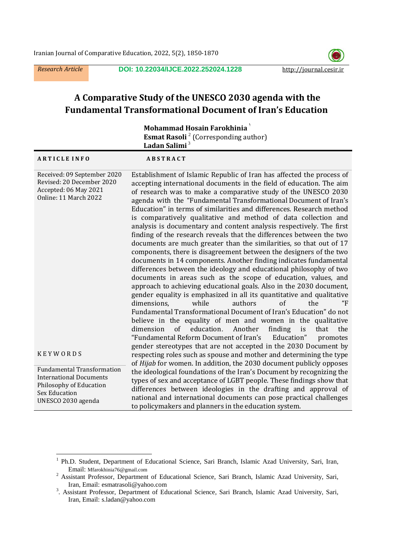$\overline{a}$ 

*Research Article* **DOI: 10.22034/IJCE.2022.252024.1228** http://journal.cesir.ir



# **A Comparative Study of the UNESCO 2030 agenda with the Fundamental Transformational Document of Iran's Education**

| Mohammad Hosain Farokhinia                                                                                                                   |                                                                                                                                                                                                                                                                                                                                                                                                                                                                                                                                                                                                                                                                                                                                                                                                                                                                                                                                                                                                                                                                                                                                                                                                                                                                                                                                                                                                                                                                                                               |  |  |  |
|----------------------------------------------------------------------------------------------------------------------------------------------|---------------------------------------------------------------------------------------------------------------------------------------------------------------------------------------------------------------------------------------------------------------------------------------------------------------------------------------------------------------------------------------------------------------------------------------------------------------------------------------------------------------------------------------------------------------------------------------------------------------------------------------------------------------------------------------------------------------------------------------------------------------------------------------------------------------------------------------------------------------------------------------------------------------------------------------------------------------------------------------------------------------------------------------------------------------------------------------------------------------------------------------------------------------------------------------------------------------------------------------------------------------------------------------------------------------------------------------------------------------------------------------------------------------------------------------------------------------------------------------------------------------|--|--|--|
| <b>Esmat Rasoli</b> <sup>2</sup> (Corresponding author)<br>Ladan Salimi <sup>3</sup>                                                         |                                                                                                                                                                                                                                                                                                                                                                                                                                                                                                                                                                                                                                                                                                                                                                                                                                                                                                                                                                                                                                                                                                                                                                                                                                                                                                                                                                                                                                                                                                               |  |  |  |
| <b>ARTICLE INFO</b>                                                                                                                          | <b>ABSTRACT</b>                                                                                                                                                                                                                                                                                                                                                                                                                                                                                                                                                                                                                                                                                                                                                                                                                                                                                                                                                                                                                                                                                                                                                                                                                                                                                                                                                                                                                                                                                               |  |  |  |
| Received: 09 September 2020<br>Revised: 20 December 2020<br>Accepted: 06 May 2021<br>Online: 11 March 2022                                   | Establishment of Islamic Republic of Iran has affected the process of<br>accepting international documents in the field of education. The aim<br>of research was to make a comparative study of the UNESCO 2030<br>agenda with the "Fundamental Transformational Document of Iran's<br>Education" in terms of similarities and differences. Research method<br>is comparatively qualitative and method of data collection and<br>analysis is documentary and content analysis respectively. The first<br>finding of the research reveals that the differences between the two<br>documents are much greater than the similarities, so that out of 17<br>components, there is disagreement between the designers of the two<br>documents in 14 components. Another finding indicates fundamental<br>differences between the ideology and educational philosophy of two<br>documents in areas such as the scope of education, values, and<br>approach to achieving educational goals. Also in the 2030 document,<br>gender equality is emphasized in all its quantitative and qualitative<br>$\alpha$ f<br>the<br>"F<br>dimensions.<br>while<br>authors<br>Fundamental Transformational Document of Iran's Education" do not<br>believe in the equality of men and women in the qualitative<br>education.<br>Another<br>dimension<br>of<br>finding<br>is<br>that<br>the<br>"Fundamental Reform Document of Iran's<br>Education"<br>promotes<br>gender stereotypes that are not accepted in the 2030 Document by |  |  |  |
| <b>KEYWORDS</b>                                                                                                                              | respecting roles such as spouse and mother and determining the type<br>of Hijab for women. In addition, the 2030 document publicly opposes                                                                                                                                                                                                                                                                                                                                                                                                                                                                                                                                                                                                                                                                                                                                                                                                                                                                                                                                                                                                                                                                                                                                                                                                                                                                                                                                                                    |  |  |  |
| <b>Fundamental Transformation</b><br><b>International Documents</b><br>Philosophy of Education<br><b>Sex Education</b><br>UNESCO 2030 agenda | the ideological foundations of the Iran's Document by recognizing the<br>types of sex and acceptance of LGBT people. These findings show that<br>differences between ideologies in the drafting and approval of<br>national and international documents can pose practical challenges<br>to policymakers and planners in the education system.                                                                                                                                                                                                                                                                                                                                                                                                                                                                                                                                                                                                                                                                                                                                                                                                                                                                                                                                                                                                                                                                                                                                                                |  |  |  |

<sup>1</sup> Ph.D. Student, Department of Educational Science, Sari Branch, Islamic Azad University, Sari, Iran, Email: Mfarokhinia76@gmail.com

<sup>&</sup>lt;sup>2</sup> Assistant Professor, Department of Educational Science, Sari Branch, Islamic Azad University, Sari, Iran, Email: esmatrasoli@yahoo.com

<sup>&</sup>lt;sup>3</sup>. Assistant Professor, Department of Educational Science, Sari Branch, Islamic Azad University, Sari, Iran, Email: s.ladan@yahoo.com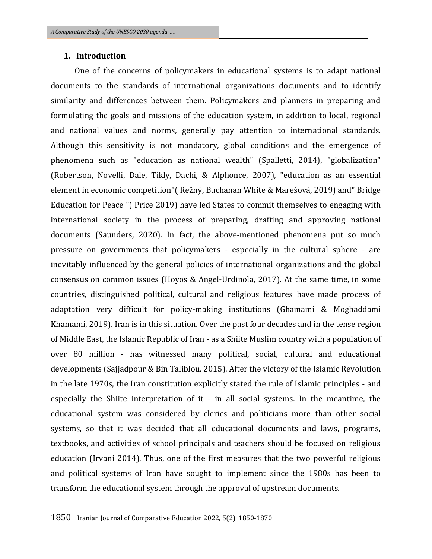### **1. Introduction**

 One of the concerns of policymakers in educational systems is to adapt national documents to the standards of international organizations documents and to identify similarity and differences between them. Policymakers and planners in preparing and formulating the goals and missions of the education system, in addition to local, regional and national values and norms, generally pay attention to international standards. Although this sensitivity is not mandatory, global conditions and the emergence of phenomena such as "education as national wealth" [\(Spalletti,](https://www.researchgate.net/profile/Stefano-Spalletti?_sg%5B0%5D=jrEstItkZT_83QVILq0TwWopSSbdBB1NsdxZCB4dpapRkvFaGt4dPJgLYuZmpl3SRPmZkYc.12u5Xh41TmMCFrHJ0S9UrNvhSNmeKEjtvmUuAauSMEzpgu7pw6rvFaFHKfwuwP45fdQ2fxhJlrvAXw0lRNLhAg&_sg%5B1%5D=_g_tO_Bs69p6jJ7Uns-TMHASKsQcXh5qPX-5Oc7OM38GQtuInPop5KDuYcvvFZcJnZRuIew.VU1ERutQ-cZL0jRSGm11ibEXP1IwNzL9wakydHJaT2tr9TT3IDNF4O-D5UcI1rPoBRGJH739asXyosK6qTf-1w) 2014), "globalization" (Robertson, Novelli, Dale, Tikly, Dachi, & Alphonce, 2007), "education as an essential element in economic competition"( Režný, Buchanan White & Marešová, 2019) and" Bridge Education for Peace "( Price 2019) have led States to commit themselves to engaging with international society in the process of preparing, drafting and approving national documents (Saunders, 2020). In fact, the above-mentioned phenomena put so much pressure on governments that policymakers - especially in the cultural sphere - are inevitably influenced by the general policies of international organizations and the global consensus on common issues (Hoyos & Angel-Urdinola, 2017). At the same time, in some countries, distinguished political, cultural and religious features have made process of adaptation very difficult for policy-making institutions (Ghamami & Moghaddami Khamami, 2019). Iran is in this situation. Over the past four decades and in the tense region of Middle East, the Islamic Republic of Iran - as a Shiite Muslim country with a population of over 80 million - has witnessed many political, social, cultural and educational developments (Sajjadpour & Bin Taliblou, 2015). After the victory of the Islamic Revolution in the late 1970s, the Iran constitution explicitly stated the rule of Islamic principles - and especially the Shiite interpretation of it - in all social systems. In the meantime, the educational system was considered by clerics and politicians more than other social systems, so that it was decided that all educational documents and laws, programs, textbooks, and activities of school principals and teachers should be focused on religious education (Irvani 2014). Thus, one of the first measures that the two powerful religious and political systems of Iran have sought to implement since the 1980s has been to transform the educational system through the approval of upstream documents.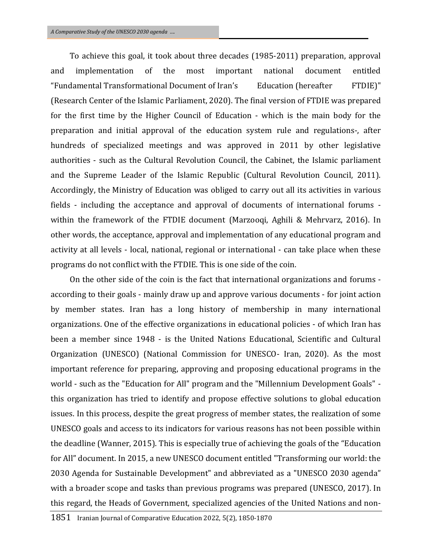To achieve this goal, it took about three decades (1985-2011) preparation, approval and implementation of the most important national document entitled "Fundamental Transformational Document of Iran's Education (hereafter FTDIE)" (Research Center of the Islamic Parliament, 2020). The final version of FTDIE was prepared for the first time by the Higher Council of Education - which is the main body for the preparation and initial approval of the education system rule and regulations-, after hundreds of specialized meetings and was approved in 2011 by other legislative authorities - such as the Cultural Revolution Council, the Cabinet, the Islamic parliament and the Supreme Leader of the Islamic Republic (Cultural Revolution Council, 2011). Accordingly, the Ministry of Education was obliged to carry out all its activities in various fields - including the acceptance and approval of documents of international forums within the framework of the FTDIE document (Marzooqi, Aghili & Mehrvarz, 2016). In other words, the acceptance, approval and implementation of any educational program and activity at all levels - local, national, regional or international - can take place when these programs do not conflict with the FTDIE. This is one side of the coin.

On the other side of the coin is the fact that international organizations and forums according to their goals - mainly draw up and approve various documents - for joint action by member states. Iran has a long history of membership in many international organizations. One of the effective organizations in educational policies - of which Iran has been a member since 1948 - is the United Nations Educational, Scientific and Cultural Organization (UNESCO) (National Commission for UNESCO- Iran, 2020). As the most important reference for preparing, approving and proposing educational programs in the world - such as the "Education for All" program and the "Millennium Development Goals" this organization has tried to identify and propose effective solutions to global education issues. In this process, despite the great progress of member states, the realization of some UNESCO goals and access to its indicators for various reasons has not been possible within the deadline (Wanner, 2015). This is especially true of achieving the goals of the "Education for All" document. In 2015, a new UNESCO document entitled "Transforming our world: the 2030 Agenda for Sustainable Development" and abbreviated as a "UNESCO 2030 agenda" with a broader scope and tasks than previous programs was prepared (UNESCO, 2017). In this regard, the Heads of Government, specialized agencies of the United Nations and non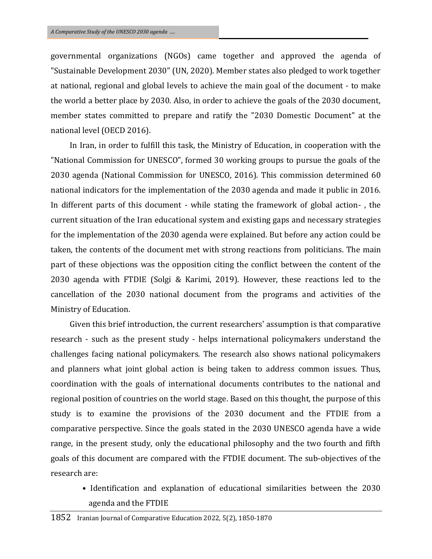governmental organizations (NGOs) came together and approved the agenda of "Sustainable Development 2030" (UN, 2020). Member states also pledged to work together at national, regional and global levels to achieve the main goal of the document - to make the world a better place by 2030. Also, in order to achieve the goals of the 2030 document, member states committed to prepare and ratify the "2030 Domestic Document" at the national level (OECD 2016).

In Iran, in order to fulfill this task, the Ministry of Education, in cooperation with the "National Commission for UNESCO", formed 30 working groups to pursue the goals of the 2030 agenda (National Commission for UNESCO, 2016). This commission determined 60 national indicators for the implementation of the 2030 agenda and made it public in 2016. In different parts of this document - while stating the framework of global action- , the current situation of the Iran educational system and existing gaps and necessary strategies for the implementation of the 2030 agenda were explained. But before any action could be taken, the contents of the document met with strong reactions from politicians. The main part of these objections was the opposition citing the conflict between the content of the 2030 agenda with FTDIE (Solgi & Karimi, 2019). However, these reactions led to the cancellation of the 2030 national document from the programs and activities of the Ministry of Education.

Given this brief introduction, the current researchers' assumption is that comparative research - such as the present study - helps international policymakers understand the challenges facing national policymakers. The research also shows national policymakers and planners what joint global action is being taken to address common issues. Thus, coordination with the goals of international documents contributes to the national and regional position of countries on the world stage. Based on this thought, the purpose of this study is to examine the provisions of the 2030 document and the FTDIE from a comparative perspective. Since the goals stated in the 2030 UNESCO agenda have a wide range, in the present study, only the educational philosophy and the two fourth and fifth goals of this document are compared with the FTDIE document. The sub-objectives of the research are:

• Identification and explanation of educational similarities between the 2030 agenda and the FTDIE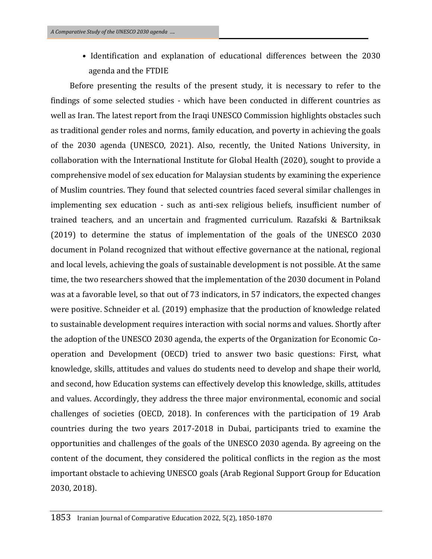• Identification and explanation of educational differences between the 2030 agenda and the FTDIE

Before presenting the results of the present study, it is necessary to refer to the findings of some selected studies - which have been conducted in different countries as well as Iran. The latest report from the Iraqi UNESCO Commission highlights obstacles such as traditional gender roles and norms, family education, and poverty in achieving the goals of the 2030 agenda (UNESCO, 2021). Also, recently, the United Nations University, in collaboration with the International Institute for Global Health (2020), sought to provide a comprehensive model of sex education for Malaysian students by examining the experience of Muslim countries. They found that selected countries faced several similar challenges in implementing sex education - such as anti-sex religious beliefs, insufficient number of trained teachers, and an uncertain and fragmented curriculum. Razafski & Bartniksak (2019) to determine the status of implementation of the goals of the UNESCO 2030 document in Poland recognized that without effective governance at the national, regional and local levels, achieving the goals of sustainable development is not possible. At the same time, the two researchers showed that the implementation of the 2030 document in Poland was at a favorable level, so that out of 73 indicators, in 57 indicators, the expected changes were positive. Schneider et al. (2019) emphasize that the production of knowledge related to sustainable development requires interaction with social norms and values. Shortly after the adoption of the UNESCO 2030 agenda, the experts of the Organization for Economic Cooperation and Development (OECD) tried to answer two basic questions: First, what knowledge, skills, attitudes and values do students need to develop and shape their world, and second, how Education systems can effectively develop this knowledge, skills, attitudes and values. Accordingly, they address the three major environmental, economic and social challenges of societies (OECD, 2018). In conferences with the participation of 19 Arab countries during the two years 2017-2018 in Dubai, participants tried to examine the opportunities and challenges of the goals of the UNESCO 2030 agenda. By agreeing on the content of the document, they considered the political conflicts in the region as the most important obstacle to achieving UNESCO goals (Arab Regional Support Group for Education 2030, 2018).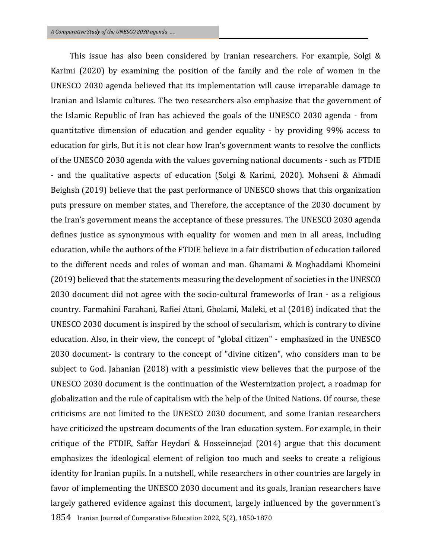This issue has also been considered by Iranian researchers. For example, Solgi & Karimi (2020) by examining the position of the family and the role of women in the UNESCO 2030 agenda believed that its implementation will cause irreparable damage to Iranian and Islamic cultures. The two researchers also emphasize that the government of the Islamic Republic of Iran has achieved the goals of the UNESCO 2030 agenda - from quantitative dimension of education and gender equality - by providing 99% access to education for girls, But it is not clear how Iran's government wants to resolve the conflicts of the UNESCO 2030 agenda with the values governing national documents - such as FTDIE - and the qualitative aspects of education (Solgi & Karimi, 2020). Mohseni & Ahmadi Beighsh (2019) believe that the past performance of UNESCO shows that this organization puts pressure on member states, and Therefore, the acceptance of the 2030 document by the Iran's government means the acceptance of these pressures. The UNESCO 2030 agenda defines justice as synonymous with equality for women and men in all areas, including education, while the authors of the FTDIE believe in a fair distribution of education tailored to the different needs and roles of woman and man. Ghamami & Moghaddami Khomeini (2019) believed that the statements measuring the development of societies in the UNESCO 2030 document did not agree with the socio-cultural frameworks of Iran - as a religious country. Farmahini Farahani, Rafiei Atani, Gholami, Maleki, et al (2018) indicated that the UNESCO 2030 document is inspired by the school of secularism, which is contrary to divine education. Also, in their view, the concept of "global citizen" - emphasized in the UNESCO 2030 document- is contrary to the concept of "divine citizen", who considers man to be subject to God. Jahanian (2018) with a pessimistic view believes that the purpose of the UNESCO 2030 document is the continuation of the Westernization project, a roadmap for globalization and the rule of capitalism with the help of the United Nations. Of course, these criticisms are not limited to the UNESCO 2030 document, and some Iranian researchers have criticized the upstream documents of the Iran education system. For example, in their critique of the FTDIE, Saffar Heydari & Hosseinnejad (2014) argue that this document emphasizes the ideological element of religion too much and seeks to create a religious identity for Iranian pupils. In a nutshell, while researchers in other countries are largely in favor of implementing the UNESCO 2030 document and its goals, Iranian researchers have largely gathered evidence against this document, largely influenced by the government's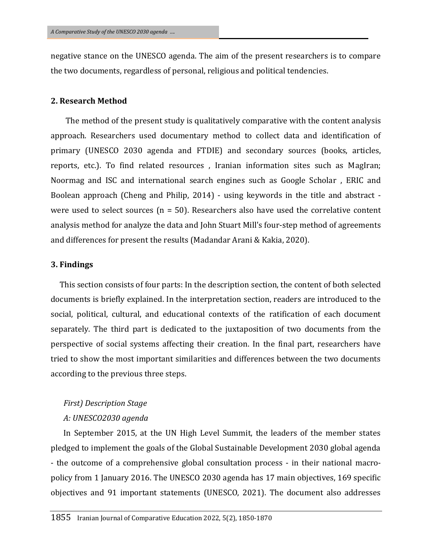negative stance on the UNESCO agenda. The aim of the present researchers is to compare the two documents, regardless of personal, religious and political tendencies.

### **2. Research Method**

 The method of the present study is qualitatively comparative with the content analysis approach. Researchers used documentary method to collect data and identification of primary (UNESCO 2030 agenda and FTDIE) and secondary sources (books, articles, reports, etc.). To find related resources , Iranian information sites such as MagIran; Noormag and ISC and international search engines such as Google Scholar , ERIC and Boolean approach (Cheng and Philip, 2014) - using keywords in the title and abstract were used to select sources ( $n = 50$ ). Researchers also have used the correlative content analysis method for analyze the data and John Stuart Mill's four-step method of agreements and differences for present the results (Madandar Arani & Kakia, 2020).

#### **3. Findings**

 This section consists of four parts: In the description section, the content of both selected documents is briefly explained. In the interpretation section, readers are introduced to the social, political, cultural, and educational contexts of the ratification of each document separately. The third part is dedicated to the juxtaposition of two documents from the perspective of social systems affecting their creation. In the final part, researchers have tried to show the most important similarities and differences between the two documents according to the previous three steps.

#### *First) Description Stage*

#### *A: UNESCO2030 agenda*

In September 2015, at the UN High Level Summit, the leaders of the member states pledged to implement the goals of the Global Sustainable Development 2030 global agenda - the outcome of a comprehensive global consultation process - in their national macropolicy from 1 January 2016. The UNESCO 2030 agenda has 17 main objectives, 169 specific objectives and 91 important statements (UNESCO, 2021). The document also addresses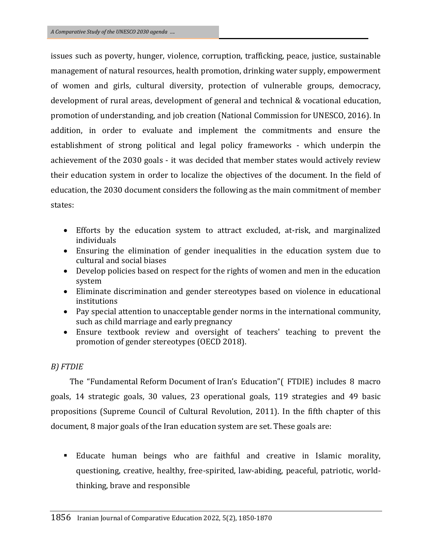issues such as poverty, hunger, violence, corruption, trafficking, peace, justice, sustainable management of natural resources, health promotion, drinking water supply, empowerment of women and girls, cultural diversity, protection of vulnerable groups, democracy, development of rural areas, development of general and technical & vocational education, promotion of understanding, and job creation (National Commission for UNESCO, 2016). In addition, in order to evaluate and implement the commitments and ensure the establishment of strong political and legal policy frameworks - which underpin the achievement of the 2030 goals - it was decided that member states would actively review their education system in order to localize the objectives of the document. In the field of education, the 2030 document considers the following as the main commitment of member states:

- Efforts by the education system to attract excluded, at-risk, and marginalized individuals
- Ensuring the elimination of gender inequalities in the education system due to cultural and social biases
- Develop policies based on respect for the rights of women and men in the education system
- Eliminate discrimination and gender stereotypes based on violence in educational institutions
- Pay special attention to unacceptable gender norms in the international community, such as child marriage and early pregnancy
- Ensure textbook review and oversight of teachers' teaching to prevent the promotion of gender stereotypes (OECD 2018).

# *B) FTDIE*

The "Fundamental Reform Document of Iran's Education"( FTDIE) includes 8 macro goals, 14 strategic goals, 30 values, 23 operational goals, 119 strategies and 49 basic propositions (Supreme Council of Cultural Revolution, 2011). In the fifth chapter of this document, 8 major goals of the Iran education system are set. These goals are:

 Educate human beings who are faithful and creative in Islamic morality, questioning, creative, healthy, free-spirited, law-abiding, peaceful, patriotic, worldthinking, brave and responsible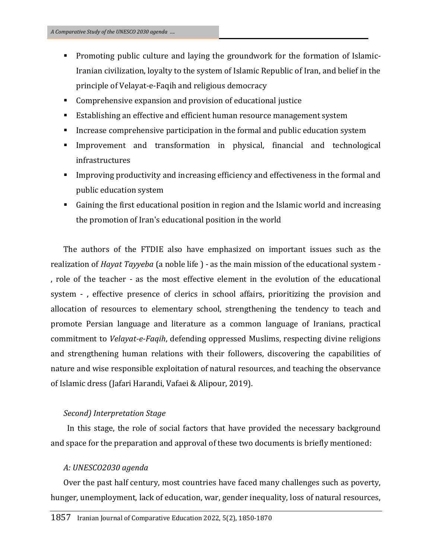- Promoting public culture and laying the groundwork for the formation of Islamic-Iranian civilization, loyalty to the system of Islamic Republic of Iran, and belief in the principle of Velayat-e-Faqih and religious democracy
- Comprehensive expansion and provision of educational justice
- Establishing an effective and efficient human resource management system
- **IF** Increase comprehensive participation in the formal and public education system
- Improvement and transformation in physical, financial and technological infrastructures
- Improving productivity and increasing efficiency and effectiveness in the formal and public education system
- Gaining the first educational position in region and the Islamic world and increasing the promotion of Iran's educational position in the world

The authors of the FTDIE also have emphasized on important issues such as the realization of *Hayat Tayyeba* (a noble life ) - as the main mission of the educational system - , role of the teacher - as the most effective element in the evolution of the educational system - , effective presence of clerics in school affairs, prioritizing the provision and allocation of resources to elementary school, strengthening the tendency to teach and promote Persian language and literature as a common language of Iranians, practical commitment to *Velayat-e-Faqih*, defending oppressed Muslims, respecting divine religions and strengthening human relations with their followers, discovering the capabilities of nature and wise responsible exploitation of natural resources, and teaching the observance of Islamic dress (Jafari Harandi, Vafaei & Alipour, 2019).

# *Second) Interpretation Stage*

 In this stage, the role of social factors that have provided the necessary background and space for the preparation and approval of these two documents is briefly mentioned:

# *A: UNESCO2030 agenda*

Over the past half century, most countries have faced many challenges such as poverty, hunger, unemployment, lack of education, war, gender inequality, loss of natural resources,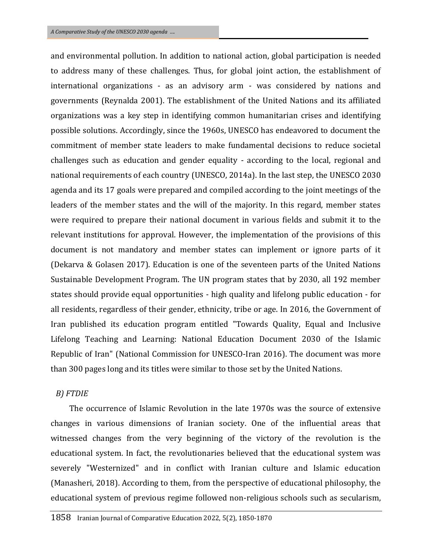and environmental pollution. In addition to national action, global participation is needed to address many of these challenges. Thus, for global joint action, the establishment of international organizations - as an advisory arm - was considered by nations and governments (Reynalda 2001). The establishment of the United Nations and its affiliated organizations was a key step in identifying common humanitarian crises and identifying possible solutions. Accordingly, since the 1960s, UNESCO has endeavored to document the commitment of member state leaders to make fundamental decisions to reduce societal challenges such as education and gender equality - according to the local, regional and national requirements of each country (UNESCO, 2014a). In the last step, the UNESCO 2030 agenda and its 17 goals were prepared and compiled according to the joint meetings of the leaders of the member states and the will of the majority. In this regard, member states were required to prepare their national document in various fields and submit it to the relevant institutions for approval. However, the implementation of the provisions of this document is not mandatory and member states can implement or ignore parts of it (Dekarva & Golasen 2017). Education is one of the seventeen parts of the United Nations Sustainable Development Program. The UN program states that by 2030, all 192 member states should provide equal opportunities - high quality and lifelong public education - for all residents, regardless of their gender, ethnicity, tribe or age. In 2016, the Government of Iran published its education program entitled "Towards Quality, Equal and Inclusive Lifelong Teaching and Learning: National Education Document 2030 of the Islamic Republic of Iran" (National Commission for UNESCO-Iran 2016). The document was more than 300 pages long and its titles were similar to those set by the United Nations.

### *B) FTDIE*

 The occurrence of Islamic Revolution in the late 1970s was the source of extensive changes in various dimensions of Iranian society. One of the influential areas that witnessed changes from the very beginning of the victory of the revolution is the educational system. In fact, the revolutionaries believed that the educational system was severely "Westernized" and in conflict with Iranian culture and Islamic education (Manasheri, 2018). According to them, from the perspective of educational philosophy, the educational system of previous regime followed non-religious schools such as secularism,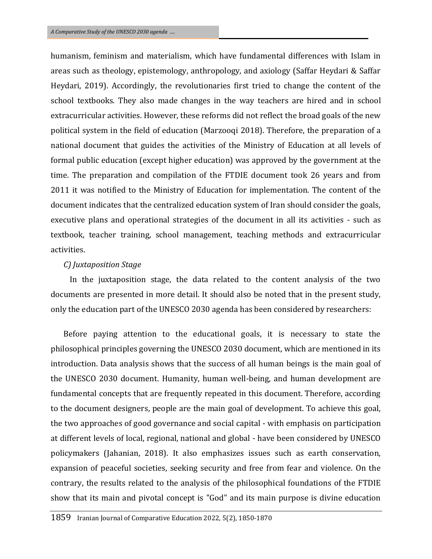humanism, feminism and materialism, which have fundamental differences with Islam in areas such as theology, epistemology, anthropology, and axiology (Saffar Heydari & Saffar Heydari, 2019). Accordingly, the revolutionaries first tried to change the content of the school textbooks. They also made changes in the way teachers are hired and in school extracurricular activities. However, these reforms did not reflect the broad goals of the new political system in the field of education (Marzooqi 2018). Therefore, the preparation of a national document that guides the activities of the Ministry of Education at all levels of formal public education (except higher education) was approved by the government at the time. The preparation and compilation of the FTDIE document took 26 years and from 2011 it was notified to the Ministry of Education for implementation. The content of the document indicates that the centralized education system of Iran should consider the goals, executive plans and operational strategies of the document in all its activities - such as textbook, teacher training, school management, teaching methods and extracurricular activities.

### *C) Juxtaposition Stage*

In the juxtaposition stage, the data related to the content analysis of the two documents are presented in more detail. It should also be noted that in the present study, only the education part of the UNESCO 2030 agenda has been considered by researchers:

Before paying attention to the educational goals, it is necessary to state the philosophical principles governing the UNESCO 2030 document, which are mentioned in its introduction. Data analysis shows that the success of all human beings is the main goal of the UNESCO 2030 document. Humanity, human well-being, and human development are fundamental concepts that are frequently repeated in this document. Therefore, according to the document designers, people are the main goal of development. To achieve this goal, the two approaches of good governance and social capital - with emphasis on participation at different levels of local, regional, national and global - have been considered by UNESCO policymakers (Jahanian, 2018). It also emphasizes issues such as earth conservation, expansion of peaceful societies, seeking security and free from fear and violence. On the contrary, the results related to the analysis of the philosophical foundations of the FTDIE show that its main and pivotal concept is "God" and its main purpose is divine education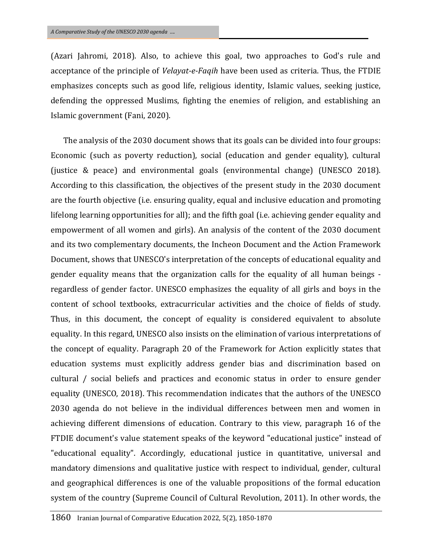(Azari Jahromi, 2018). Also, to achieve this goal, two approaches to God's rule and acceptance of the principle of *Velayat-e-Faqih* have been used as criteria. Thus, the FTDIE emphasizes concepts such as good life, religious identity, Islamic values, seeking justice, defending the oppressed Muslims, fighting the enemies of religion, and establishing an Islamic government (Fani, 2020).

The analysis of the 2030 document shows that its goals can be divided into four groups: Economic (such as poverty reduction), social (education and gender equality), cultural (justice & peace) and environmental goals (environmental change) (UNESCO 2018). According to this classification, the objectives of the present study in the 2030 document are the fourth objective (i.e. ensuring quality, equal and inclusive education and promoting lifelong learning opportunities for all); and the fifth goal (i.e. achieving gender equality and empowerment of all women and girls). An analysis of the content of the 2030 document and its two complementary documents, the Incheon Document and the Action Framework Document, shows that UNESCO's interpretation of the concepts of educational equality and gender equality means that the organization calls for the equality of all human beings regardless of gender factor. UNESCO emphasizes the equality of all girls and boys in the content of school textbooks, extracurricular activities and the choice of fields of study. Thus, in this document, the concept of equality is considered equivalent to absolute equality. In this regard, UNESCO also insists on the elimination of various interpretations of the concept of equality. Paragraph 20 of the Framework for Action explicitly states that education systems must explicitly address gender bias and discrimination based on cultural / social beliefs and practices and economic status in order to ensure gender equality (UNESCO, 2018). This recommendation indicates that the authors of the UNESCO 2030 agenda do not believe in the individual differences between men and women in achieving different dimensions of education. Contrary to this view, paragraph 16 of the FTDIE document's value statement speaks of the keyword "educational justice" instead of "educational equality". Accordingly, educational justice in quantitative, universal and mandatory dimensions and qualitative justice with respect to individual, gender, cultural and geographical differences is one of the valuable propositions of the formal education system of the country (Supreme Council of Cultural Revolution, 2011). In other words, the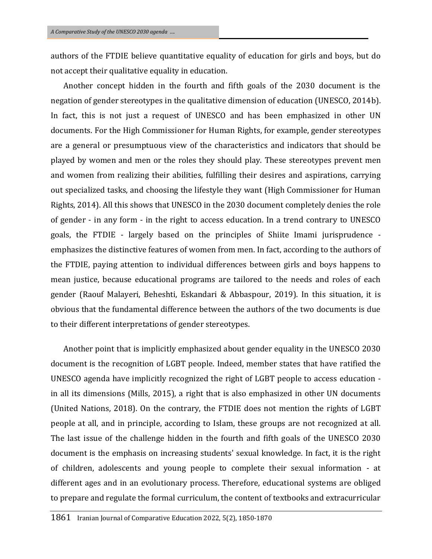authors of the FTDIE believe quantitative equality of education for girls and boys, but do not accept their qualitative equality in education.

Another concept hidden in the fourth and fifth goals of the 2030 document is the negation of gender stereotypes in the qualitative dimension of education (UNESCO, 2014b). In fact, this is not just a request of UNESCO and has been emphasized in other UN documents. For the High Commissioner for Human Rights, for example, gender stereotypes are a general or presumptuous view of the characteristics and indicators that should be played by women and men or the roles they should play. These stereotypes prevent men and women from realizing their abilities, fulfilling their desires and aspirations, carrying out specialized tasks, and choosing the lifestyle they want (High Commissioner for Human Rights, 2014). All this shows that UNESCO in the 2030 document completely denies the role of gender - in any form - in the right to access education. In a trend contrary to UNESCO goals, the FTDIE - largely based on the principles of Shiite Imami jurisprudence emphasizes the distinctive features of women from men. In fact, according to the authors of the FTDIE, paying attention to individual differences between girls and boys happens to mean justice, because educational programs are tailored to the needs and roles of each gender (Raouf Malayeri, Beheshti, Eskandari & Abbaspour, 2019). In this situation, it is obvious that the fundamental difference between the authors of the two documents is due to their different interpretations of gender stereotypes.

Another point that is implicitly emphasized about gender equality in the UNESCO 2030 document is the recognition of LGBT people. Indeed, member states that have ratified the UNESCO agenda have implicitly recognized the right of LGBT people to access education in all its dimensions (Mills, 2015), a right that is also emphasized in other UN documents (United Nations, 2018). On the contrary, the FTDIE does not mention the rights of LGBT people at all, and in principle, according to Islam, these groups are not recognized at all. The last issue of the challenge hidden in the fourth and fifth goals of the UNESCO 2030 document is the emphasis on increasing students' sexual knowledge. In fact, it is the right of children, adolescents and young people to complete their sexual information - at different ages and in an evolutionary process. Therefore, educational systems are obliged to prepare and regulate the formal curriculum, the content of textbooks and extracurricular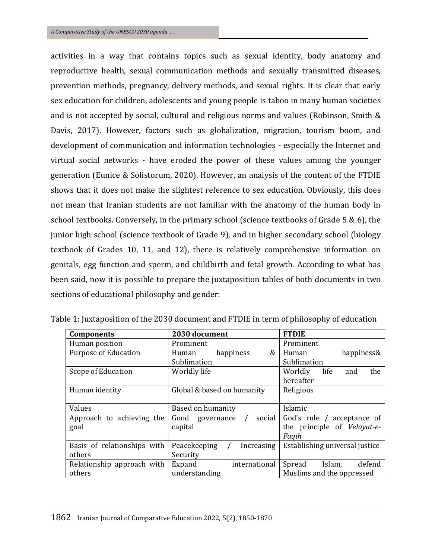activities in a way that contains topics such as sexual identity, body anatomy and reproductive health, sexual communication methods and sexually transmitted diseases, prevention methods, pregnancy, delivery methods, and sexual rights. It is clear that early sex education for children, adolescents and young people is taboo in many human societies and is not accepted by social, cultural and religious norms and values (Robinson, Smith & Davis, 2017). However, factors such as globalization, migration, tourism boom, and development of communication and information technologies - especially the Internet and virtual social networks - have eroded the power of these values among the younger generation (Eunice & Solistorum, 2020). However, an analysis of the content of the FTDIE shows that it does not make the slightest reference to sex education. Obviously, this does not mean that Iranian students are not familiar with the anatomy of the human body in school textbooks. Conversely, in the primary school (science textbooks of Grade  $5 \& 6$ ), the junior high school (science textbook of Grade 9), and in higher secondary school (biology textbook of Grades 10, 11, and 12), there is relatively comprehensive information on genitals, egg function and sperm, and childbirth and fetal growth. According to what has been said, now it is possible to prepare the juxtaposition tables of both documents in two sections of educational philosophy and gender:

| <b>Components</b>           | 2030 document                              | <b>FTDIE</b>                   |  |
|-----------------------------|--------------------------------------------|--------------------------------|--|
| Human position              | Prominent                                  | Prominent                      |  |
| <b>Purpose of Education</b> | happiness<br>&<br>Human                    | happiness&<br>Human            |  |
|                             | Sublimation                                | Sublimation                    |  |
| Scope of Education          | Worldly life                               | life<br>Worldly<br>the<br>and  |  |
|                             |                                            | hereafter                      |  |
| Human identity              | Global & based on humanity                 | Religious                      |  |
|                             |                                            |                                |  |
| Values                      | Based on humanity                          | Islamic                        |  |
| Approach to achieving the   | social<br>Good governance                  | God's rule / acceptance of     |  |
| goal                        | capital                                    | the principle of Velayat-e-    |  |
|                             |                                            | Fagih                          |  |
| Basis of relationships with | Peacekeeping<br>Increasing                 | Establishing universal justice |  |
| others                      | Security                                   |                                |  |
| Relationship approach with  | international<br>Expand                    | defend<br>Spread<br>Islam,     |  |
| others                      | Muslims and the oppressed<br>understanding |                                |  |

Table 1: Juxtaposition of the 2030 document and FTDIE in term of philosophy of education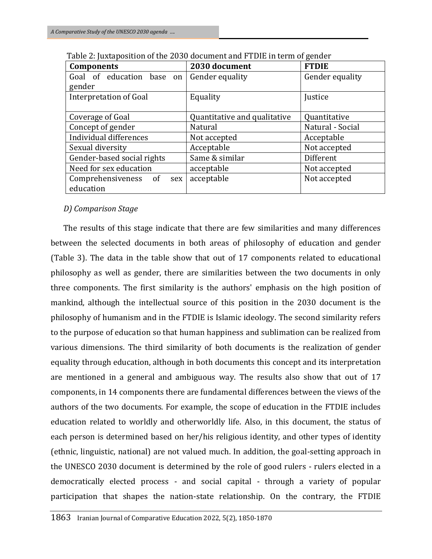| <b>Components</b>                | 2030 document                | <b>FTDIE</b>     |
|----------------------------------|------------------------------|------------------|
| Goal of education base on        | Gender equality              | Gender equality  |
| gender                           |                              |                  |
| Interpretation of Goal           | Equality                     | Justice          |
|                                  |                              |                  |
| Coverage of Goal                 | Quantitative and qualitative | Quantitative     |
| Concept of gender                | Natural                      | Natural - Social |
| Individual differences           | Not accepted                 | Acceptable       |
| Sexual diversity                 | Acceptable                   | Not accepted     |
| Gender-based social rights       | Same & similar               | Different        |
| Need for sex education           | acceptable                   | Not accepted     |
| Comprehensiveness<br>- of<br>sex | acceptable                   | Not accepted     |
| education                        |                              |                  |

| Table 2: Juxtaposition of the 2030 document and FTDIE in term of gender |  |
|-------------------------------------------------------------------------|--|
|-------------------------------------------------------------------------|--|

# *D) Comparison Stage*

The results of this stage indicate that there are few similarities and many differences between the selected documents in both areas of philosophy of education and gender (Table 3). The data in the table show that out of 17 components related to educational philosophy as well as gender, there are similarities between the two documents in only three components. The first similarity is the authors' emphasis on the high position of mankind, although the intellectual source of this position in the 2030 document is the philosophy of humanism and in the FTDIE is Islamic ideology. The second similarity refers to the purpose of education so that human happiness and sublimation can be realized from various dimensions. The third similarity of both documents is the realization of gender equality through education, although in both documents this concept and its interpretation are mentioned in a general and ambiguous way. The results also show that out of 17 components, in 14 components there are fundamental differences between the views of the authors of the two documents. For example, the scope of education in the FTDIE includes education related to worldly and otherworldly life. Also, in this document, the status of each person is determined based on her/his religious identity, and other types of identity (ethnic, linguistic, national) are not valued much. In addition, the goal-setting approach in the UNESCO 2030 document is determined by the role of good rulers - rulers elected in a democratically elected process - and social capital - through a variety of popular participation that shapes the nation-state relationship. On the contrary, the FTDIE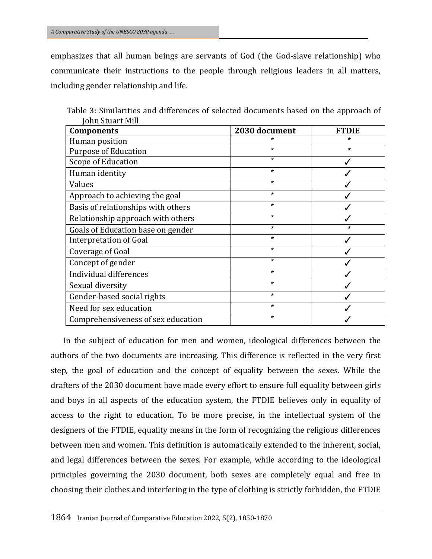emphasizes that all human beings are servants of God (the God-slave relationship) who communicate their instructions to the people through religious leaders in all matters, including gender relationship and life.

| <b>Components</b>                  | 2030 document | <b>FTDIE</b> |
|------------------------------------|---------------|--------------|
| Human position                     | ×             | *            |
| <b>Purpose of Education</b>        | $\star$       | $\star$      |
| Scope of Education                 | $\ast$        |              |
| Human identity                     | $\pmb{\star}$ |              |
| Values                             | $\star$       |              |
| Approach to achieving the goal     | $\ast$        |              |
| Basis of relationships with others | $\pmb{\star}$ |              |
| Relationship approach with others  | $\pmb{\star}$ |              |
| Goals of Education base on gender  | $\pmb{\star}$ | $\star$      |
| Interpretation of Goal             | $\pmb{\star}$ |              |
| Coverage of Goal                   | $\star$       |              |
| Concept of gender                  | $\pmb{\star}$ |              |
| Individual differences             | $\pmb{\star}$ |              |
| Sexual diversity                   | $\star$       |              |
| Gender-based social rights         | $\star$       |              |
| Need for sex education             | $\pmb{\star}$ |              |
| Comprehensiveness of sex education | *             |              |

Table 3: Similarities and differences of selected documents based on the approach of John Stuart Mill

In the subject of education for men and women, ideological differences between the authors of the two documents are increasing. This difference is reflected in the very first step, the goal of education and the concept of equality between the sexes. While the drafters of the 2030 document have made every effort to ensure full equality between girls and boys in all aspects of the education system, the FTDIE believes only in equality of access to the right to education. To be more precise, in the intellectual system of the designers of the FTDIE, equality means in the form of recognizing the religious differences between men and women. This definition is automatically extended to the inherent, social, and legal differences between the sexes. For example, while according to the ideological principles governing the 2030 document, both sexes are completely equal and free in choosing their clothes and interfering in the type of clothing is strictly forbidden, the FTDIE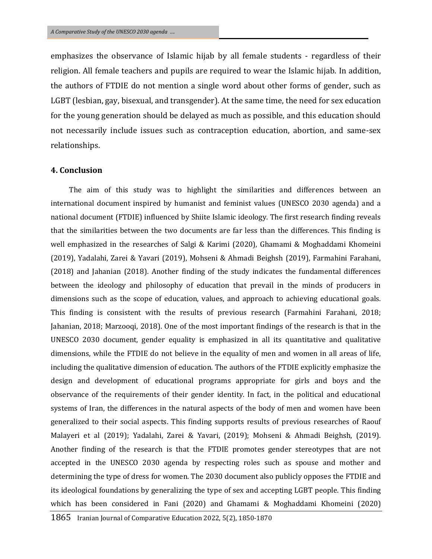emphasizes the observance of Islamic hijab by all female students - regardless of their religion. All female teachers and pupils are required to wear the Islamic hijab. In addition, the authors of FTDIE do not mention a single word about other forms of gender, such as LGBT (lesbian, gay, bisexual, and transgender). At the same time, the need for sex education for the young generation should be delayed as much as possible, and this education should not necessarily include issues such as contraception education, abortion, and same-sex relationships.

#### **4. Conclusion**

The aim of this study was to highlight the similarities and differences between an international document inspired by humanist and feminist values (UNESCO 2030 agenda) and a national document (FTDIE) influenced by Shiite Islamic ideology. The first research finding reveals that the similarities between the two documents are far less than the differences. This finding is well emphasized in the researches of Salgi & Karimi (2020), Ghamami & Moghaddami Khomeini (2019), Yadalahi, Zarei & Yavari (2019), Mohseni & Ahmadi Beighsh (2019), Farmahini Farahani, (2018) and Jahanian (2018). Another finding of the study indicates the fundamental differences between the ideology and philosophy of education that prevail in the minds of producers in dimensions such as the scope of education, values, and approach to achieving educational goals. This finding is consistent with the results of previous research (Farmahini Farahani, 2018; Jahanian, 2018; Marzooqi, 2018). One of the most important findings of the research is that in the UNESCO 2030 document, gender equality is emphasized in all its quantitative and qualitative dimensions, while the FTDIE do not believe in the equality of men and women in all areas of life, including the qualitative dimension of education. The authors of the FTDIE explicitly emphasize the design and development of educational programs appropriate for girls and boys and the observance of the requirements of their gender identity. In fact, in the political and educational systems of Iran, the differences in the natural aspects of the body of men and women have been generalized to their social aspects. This finding supports results of previous researches of Raouf Malayeri et al (2019); Yadalahi, Zarei & Yavari, (2019); Mohseni & Ahmadi Beighsh, (2019). Another finding of the research is that the FTDIE promotes gender stereotypes that are not accepted in the UNESCO 2030 agenda by respecting roles such as spouse and mother and determining the type of dress for women. The 2030 document also publicly opposes the FTDIE and its ideological foundations by generalizing the type of sex and accepting LGBT people. This finding which has been considered in Fani (2020) and Ghamami & Moghaddami Khomeini (2020)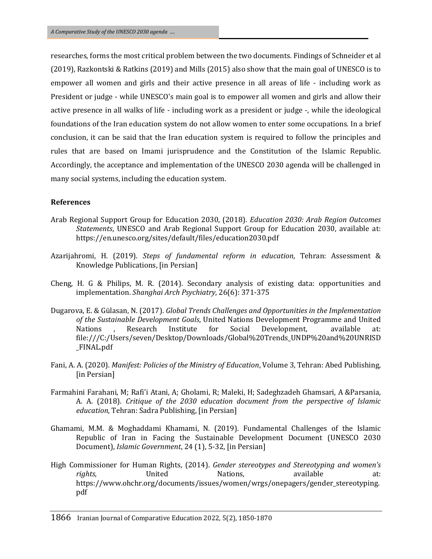researches, forms the most critical problem between the two documents. Findings of Schneider et al (2019), Razkontski & Ratkins (2019) and Mills (2015) also show that the main goal of UNESCO is to empower all women and girls and their active presence in all areas of life - including work as President or judge - while UNESCO's main goal is to empower all women and girls and allow their active presence in all walks of life - including work as a president or judge -, while the ideological foundations of the Iran education system do not allow women to enter some occupations. In a brief conclusion, it can be said that the Iran education system is required to follow the principles and rules that are based on Imami jurisprudence and the Constitution of the Islamic Republic. Accordingly, the acceptance and implementation of the UNESCO 2030 agenda will be challenged in many social systems, including the education system.

#### **References**

- Arab Regional Support Group for Education 2030, (2018). *Education 2030: Arab Region Outcomes Statements*, UNESCO and Arab Regional Support Group for Education 2030, available at: <https://en.unesco.org/sites/default/files/education2030.pdf>
- Azarijahromi, H. (2019). *Steps of fundamental reform in education*, Tehran: Assessment & Knowledge Publications, [in Persian]
- Cheng, H. G & Philips, M. R. (2014). Secondary analysis of existing data: opportunities and implementation. *Shanghai Arch Psychiatry*, 26(6): 371-375
- Dugarova, E. & Gülasan, N. (2017). *Global Trends Challenges and Opportunities in the Implementation of the Sustainable Development Goals*, United Nations Development Programme and United Nations , Research Institute for Social Development, available at: [file:///C:/Users/seven/Desktop/Downloads/Global%20Trends\\_UNDP%20and%20UNRISD](../../seven/Desktop/Downloads/Global%20Trends_UNDP%20and%20UNRISD_FINAL.pdf) [\\_FINAL.pdf](../../seven/Desktop/Downloads/Global%20Trends_UNDP%20and%20UNRISD_FINAL.pdf)
- Fani, A. A. (2020). *Manifest: Policies of the Ministry of Education*, Volume 3, Tehran: Abed Publishing, [in Persian]
- Farmahini Farahani, M; Rafi'i Atani, A; Gholami, R; Maleki, H; Sadeghzadeh Ghamsari, A &Parsania, A. A. (2018). *Critique of the 2030 education document from the perspective of Islamic education*, Tehran: Sadra Publishing, [in Persian]
- Ghamami, M.M. & Moghaddami Khamami, N. (2019). Fundamental Challenges of the Islamic Republic of Iran in Facing the Sustainable Development Document (UNESCO 2030 Document), *Islamic Government*, 24 (1), 5-32, [in Persian]
- High Commissioner for Human Rights, (2014). *Gender stereotypes and Stereotyping and women's rights*, **Example 3** United Mations, available at: [https://www.ohchr.org/documents/issues/women/wrgs/onepagers/gender\\_stereotyping.](https://www.ohchr.org/documents/issues/women/wrgs/onepagers/gender_stereotyping.pdf) [pdf](https://www.ohchr.org/documents/issues/women/wrgs/onepagers/gender_stereotyping.pdf)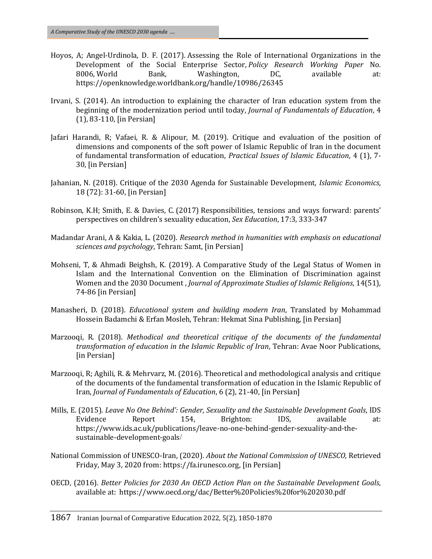- Hoyos, A; Angel-Urdinola, D. F. (2017). Assessing the Role of International Organizations in the Development of the Social Enterprise Sector, *Policy Research Working Paper* No. 8006, World Bank, Washington, DC, available at: <https://openknowledge.worldbank.org/handle/10986/26345>
- Irvani, S. (2014). An introduction to explaining the character of Iran education system from the beginning of the modernization period until today, *Journal of Fundamentals of Education*, 4 (1), 83-110, [in Persian]
- Jafari Harandi, R; Vafaei, R. & Alipour, M. (2019). Critique and evaluation of the position of dimensions and components of the soft power of Islamic Republic of Iran in the document of fundamental transformation of education, *Practical Issues of Islamic Education*, 4 (1), 7- 30, [in Persian]
- Jahanian, N. (2018). Critique of the 2030 Agenda for Sustainable Development, *Islamic Economics*, 18 (72): 31-60, [in Persian]
- Robinson, K.H; Smith, E. & Davies, C. (2017) Responsibilities, tensions and ways forward: parents' perspectives on children's sexuality education, *Sex Education*, 17:3, 333-347
- Madandar Arani, A & Kakia, L. (2020). *Research method in humanities with emphasis on educational sciences and psychology*, Tehran: Samt, [in Persian]
- Mohseni, T, & Ahmadi Beighsh, K. (2019). A Comparative Study of the Legal Status of Women in Islam and the International Convention on the Elimination of Discrimination against Women and the 2030 Document , *Journal of Approximate Studies of Islamic Religions*, 14(51), 74-86 [in Persian]
- Manasheri, D. (2018). *Educational system and building modern Iran*, Translated by Mohammad Hossein Badamchi & Erfan Mosleh, Tehran: Hekmat Sina Publishing, [in Persian]
- Marzooqi, R. (2018). *Methodical and theoretical critique of the documents of the fundamental transformation of education in the Islamic Republic of Iran*, Tehran: Avae Noor Publications, [in Persian]
- Marzooqi, R; Aghili, R. & Mehrvarz, M. (2016). Theoretical and methodological analysis and critique of the documents of the fundamental transformation of education in the Islamic Republic of Iran, *Journal of Fundamentals of Education*, 6 (2), 21-40, [in Persian]
- Mills, E. (2015). *Leave No One Behind': Gender, Sexuality and the Sustainable Development Goals*, IDS Evidence Report 154, Brighton: IDS, available at: [https://www.ids.ac.uk/publications/leave-no-one-behind-gender-sexuality-and-the](https://www.ids.ac.uk/publications/leave-no-one-behind-gender-sexuality-and-the-sustainable-development-goals/)[sustainable-development-goals](https://www.ids.ac.uk/publications/leave-no-one-behind-gender-sexuality-and-the-sustainable-development-goals/)/
- National Commission of UNESCO-Iran, (2020). *About the National Commission of UNESCO,* Retrieved Friday, May 3, 2020 from: https://fa.irunesco.org, [in Persian]
- OECD, (2016). *Better Policies for 2030 An OECD Action Plan on the Sustainable Development Goals*, available at:<https://www.oecd.org/dac/Better%20Policies%20for%202030.pdf>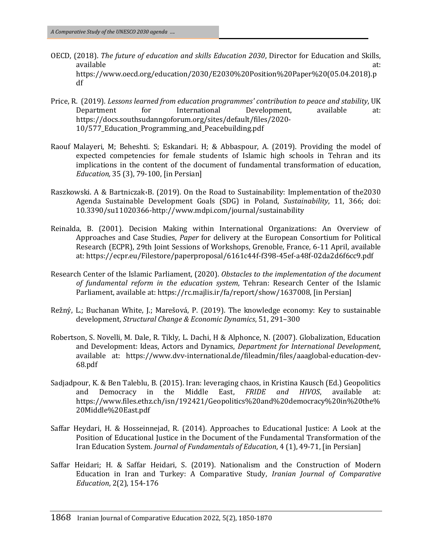- OECD, (2018). *The future of education and skills Education 2030*, Director for Education and Skills, available at: [https://www.oecd.org/education/2030/E2030%20Position%20Paper%20\(05.04.2018\).p](https://www.oecd.org/education/2030/E2030%20Position%20Paper%20(05.04.2018).pdf) [df](https://www.oecd.org/education/2030/E2030%20Position%20Paper%20(05.04.2018).pdf)
- Price, R. (2019). *Lessons learned from education programmes' contribution to peace and stability*, UK Department for International Development, available at: [https://docs.southsudanngoforum.org/sites/default/files/2020-](https://docs.southsudanngoforum.org/sites/default/files/2020-10/577_Education_Programming_and_Peacebuilding.pdf) [10/577\\_Education\\_Programming\\_and\\_Peacebuilding.pdf](https://docs.southsudanngoforum.org/sites/default/files/2020-10/577_Education_Programming_and_Peacebuilding.pdf)
- Raouf Malayeri, M; Beheshti. S; Eskandari. H; & Abbaspour, A. (2019). Providing the model of expected competencies for female students of Islamic high schools in Tehran and its implications in the content of the document of fundamental transformation of education, *Education,* 35 (3), 79-100, [in Persian]
- Raszkowski. A & Bartniczak،B. (2019). On the Road to Sustainability: Implementation of the2030 Agenda Sustainable Development Goals (SDG) in Poland, *Sustainability*, 11, 366; doi: 10.3390/su11020366[-http://www.mdpi.com/journal/sustainability](http://www.mdpi.com/journal/sustainability)
- Reinalda, B. (2001). Decision Making within International Organizations: An Overview of Approaches and Case Studies, *Paper* for delivery at the European Consortium for Political Research (ECPR), 29th Joint Sessions of Workshops, Grenoble, France, 6-11 April, available at[: https://ecpr.eu/Filestore/paperproposal/6161c44f-f398-45ef-a48f-02da2d6f6cc9.pdf](https://ecpr.eu/Filestore/paperproposal/6161c44f-f398-45ef-a48f-02da2d6f6cc9.pdf)
- Research Center of the Islamic Parliament, (2020). *Obstacles to the implementation of the document of fundamental reform in the education system*, Tehran: Research Center of the Islamic Parliament, available at: https://rc.majlis.ir/fa/report/show/1637008, [in Persian]
- Režný, L.; Buchanan White, J.; Marešová, P. (2019). The knowledge economy: Key to sustainable development, *[Structural Change & Economic Dynamics](https://www.sciencedirect.com/science/journal/0954349X)*, 51, 291–300
- Robertson, S. Novelli, M. Dale, R. Tikly, L. Dachi, H & Alphonce, N. (2007). Globalization, Education and Development: Ideas, Actors and Dynamics, *Department for International Development*, available at: [https://www.dvv-international.de/fileadmin/files/aaaglobal-education-dev-](https://www.dvv-international.de/fileadmin/files/aaaglobal-education-dev-68.pdf)[68.pdf](https://www.dvv-international.de/fileadmin/files/aaaglobal-education-dev-68.pdf)
- Sadjadpour, K. & Ben Taleblu, B. (2015). Iran: leveraging chaos, in Kristina Kausch (Ed.) Geopolitics and Democracy in the Middle East, *FRIDE and HIVOS*, available at: [https://www.files.ethz.ch/isn/192421/Geopolitics%20and%20democracy%20in%20the%](https://www.files.ethz.ch/isn/192421/Geopolitics%20and%20democracy%20in%20the%20Middle%20East.pdf) [20Middle%20East.pdf](https://www.files.ethz.ch/isn/192421/Geopolitics%20and%20democracy%20in%20the%20Middle%20East.pdf)
- Saffar Heydari, H. & Hosseinnejad, R. (2014). Approaches to Educational Justice: A Look at the Position of Educational Justice in the Document of the Fundamental Transformation of the Iran Education System*. Journal of Fundamentals of Education*, 4 (1), 49-71, [in Persian]
- Saffar Heidari; H. & Saffar Heidari, S. (2019). [Nationalism and the Construction of Modern](http://journal.cesir.ir/article_103668.html)  [Education in Iran and Turkey: A Comparative Study,](http://journal.cesir.ir/article_103668.html) *Iranian Journal of Comparative Education*, 2(2), 154-176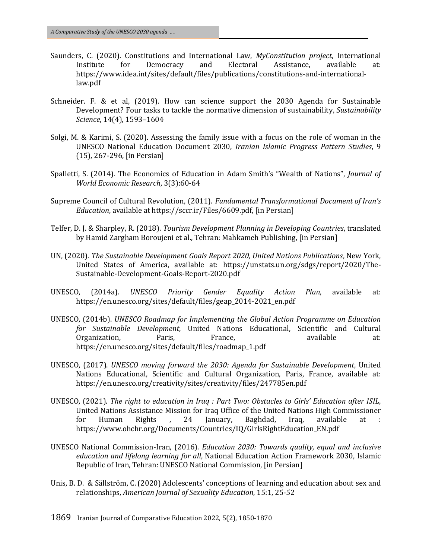- Saunders, C. (2020). Constitutions and International Law, *MyConstitution project*, International Institute for Democracy and Electoral Assistance, available at: [https://www.idea.int/sites/default/files/publications/constitutions-and-international](https://www.idea.int/sites/default/files/publications/constitutions-and-international-law.pdf)[law.pdf](https://www.idea.int/sites/default/files/publications/constitutions-and-international-law.pdf)
- Schneider. F. & et al, (2019). How can science support the 2030 Agenda for Sustainable Development? Four tasks to tackle the normative dimension of sustainability, *[Sustainability](https://www.researchgate.net/journal/Sustainability-Science-1862-4057?_sg=I_Xocta627cbvNTLYkamsnVi7D3ZVTbUzTfoqFJYr22pOHdhrvm7qlN02zagTgt44003j7mV6G97-ewJ-4Ue9oLzREPSuec.e3HO8IkCoMq4Mk-8ZWNjVMmvIogK2XkuenBOZop9XuRGykhV2aAV4Auk3Hnm3s1BTpAnV6qNh-3ESbBuCVu9vg)  [Science](https://www.researchgate.net/journal/Sustainability-Science-1862-4057?_sg=I_Xocta627cbvNTLYkamsnVi7D3ZVTbUzTfoqFJYr22pOHdhrvm7qlN02zagTgt44003j7mV6G97-ewJ-4Ue9oLzREPSuec.e3HO8IkCoMq4Mk-8ZWNjVMmvIogK2XkuenBOZop9XuRGykhV2aAV4Auk3Hnm3s1BTpAnV6qNh-3ESbBuCVu9vg)*, 14(4), 1593–1604
- Solgi, M. & Karimi, S. (2020). Assessing the family issue with a focus on the role of woman in the UNESCO National Education Document 2030, *Iranian Islamic Progress Pattern Studies*, 9 (15), 267-296, [in Persian]
- [Spalletti](https://www.researchgate.net/profile/Stefano-Spalletti?_sg%5B0%5D=jrEstItkZT_83QVILq0TwWopSSbdBB1NsdxZCB4dpapRkvFaGt4dPJgLYuZmpl3SRPmZkYc.12u5Xh41TmMCFrHJ0S9UrNvhSNmeKEjtvmUuAauSMEzpgu7pw6rvFaFHKfwuwP45fdQ2fxhJlrvAXw0lRNLhAg&_sg%5B1%5D=_g_tO_Bs69p6jJ7Uns-TMHASKsQcXh5qPX-5Oc7OM38GQtuInPop5KDuYcvvFZcJnZRuIew.VU1ERutQ-cZL0jRSGm11ibEXP1IwNzL9wakydHJaT2tr9TT3IDNF4O-D5UcI1rPoBRGJH739asXyosK6qTf-1w), S. (2014). The Economics of Education in Adam Smith's "Wealth of Nations", *Journal of World Economic Research*, 3(3):60-64
- Supreme Council of Cultural Revolution, (2011). *Fundamental Transformational Document of Iran's Education*, available at https://sccr.ir/Files/6609.pdf, [in Persian]
- Telfer, D. J. & Sharpley, R. (2018). *Tourism Development Planning in Developing Countries*, translated by Hamid Zargham Boroujeni et al., Tehran: Mahkameh Publishing, [in Persian]
- UN, (2020). *The Sustainable Development Goals Report 2020, United Nations Publications*, New York, United States of America, available at: [https://unstats.un.org/sdgs/report/2020/The-](https://unstats.un.org/sdgs/report/2020/The-Sustainable-Development-Goals-Report-2020.pdf)[Sustainable-Development-Goals-Report-2020.pdf](https://unstats.un.org/sdgs/report/2020/The-Sustainable-Development-Goals-Report-2020.pdf)
- UNESCO, (2014a). *UNESCO Priority Gender Equality Action Plan*, available at: https://en.unesco.org/sites/default/files/geap\_2014-2021\_en.pdf
- UNESCO, (2014b). *UNESCO Roadmap for Implementing the Global Action Programme on Education for Sustainable Development*, United Nations Educational, Scientific and Cultural Organization, Paris, France, available at: [https://en.unesco.org/sites/default/files/roadmap\\_1.pdf](https://en.unesco.org/sites/default/files/roadmap_1.pdf)
- UNESCO, (2017). *UNESCO moving forward the 2030: Agenda for Sustainable Development*, United Nations Educational, Scientific and Cultural Organization, Paris, France, available at: <https://en.unesco.org/creativity/sites/creativity/files/247785en.pdf>
- UNESCO, (2021). *The right to education in Iraq : Part Two: Obstacles to Girls' Education after ISIL*, United Nations Assistance Mission for Iraq Office of the United Nations High Commissioner for Human Rights , 24 January, Baghdad, Iraq, available at : [https://www.ohchr.org/Documents/Countries/IQ/GirlsRightEducation\\_EN.pdf](https://www.ohchr.org/Documents/Countries/IQ/GirlsRightEducation_EN.pdf)
- UNESCO National Commission-Iran, (2016). *Education 2030: Towards quality, equal and inclusive education and lifelong learning for all*, National Education Action Framework 2030, Islamic Republic of Iran, Tehran: UNESCO National Commission, [in Persian]
- Unis, B. D. & Sällström, C. (2020) Adolescents' conceptions of learning and education about sex and relationships, *American Journal of Sexuality Education*, 15:1, 25-52